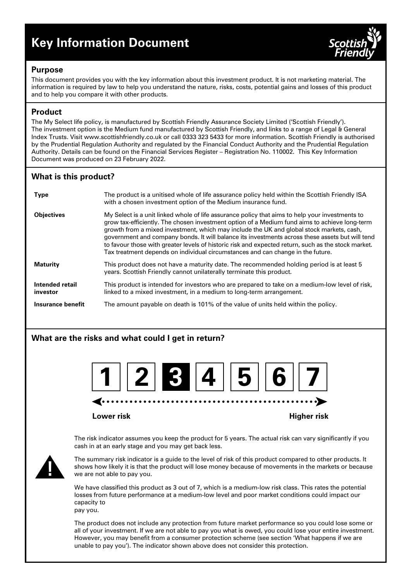# **Key Information Document**



#### **Purpose**

This document provides you with the key information about this investment product. It is not marketing material. The information is required by law to help you understand the nature, risks, costs, potential gains and losses of this product and to help you compare it with other products.

# **Product**

The My Select life policy, is manufactured by Scottish Friendly Assurance Society Limited ('Scottish Friendly'). The investment option is the Medium fund manufactured by Scottish Friendly, and links to a range of Legal & General Index Trusts. Visit www.scottishfriendly.co.uk or call 0333 323 5433 for more information. Scottish Friendly is authorised by the Prudential Regulation Authority and regulated by the Financial Conduct Authority and the Prudential Regulation Authority. Details can be found on the Financial Services Register – Registration No. 110002. This Key Information Document was produced on 23 February 2022.

# **What is this product?**

| <b>Type</b>                 | The product is a unitised whole of life assurance policy held within the Scottish Friendly ISA<br>with a chosen investment option of the Medium insurance fund.                                                                                                                                                                                                                                                                                                                                                                                                                           |
|-----------------------------|-------------------------------------------------------------------------------------------------------------------------------------------------------------------------------------------------------------------------------------------------------------------------------------------------------------------------------------------------------------------------------------------------------------------------------------------------------------------------------------------------------------------------------------------------------------------------------------------|
| <b>Objectives</b>           | My Select is a unit linked whole of life assurance policy that aims to help your investments to<br>grow tax-efficiently. The chosen investment option of a Medium fund aims to achieve long-term<br>growth from a mixed investment, which may include the UK and global stock markets, cash,<br>government and company bonds. It will balance its investments across these assets but will tend<br>to favour those with greater levels of historic risk and expected return, such as the stock market.<br>Tax treatment depends on individual circumstances and can change in the future. |
| <b>Maturity</b>             | This product does not have a maturity date. The recommended holding period is at least 5<br>years. Scottish Friendly cannot unilaterally terminate this product.                                                                                                                                                                                                                                                                                                                                                                                                                          |
| Intended retail<br>investor | This product is intended for investors who are prepared to take on a medium-low level of risk,<br>linked to a mixed investment, in a medium to long-term arrangement.                                                                                                                                                                                                                                                                                                                                                                                                                     |
| Insurance benefit           | The amount payable on death is 101% of the value of units held within the policy.                                                                                                                                                                                                                                                                                                                                                                                                                                                                                                         |

# **What are the risks and what could I get in return?**



#### **Lower risk Higher risk**

The risk indicator assumes you keep the product for 5 years. The actual risk can vary significantly if you cash in at an early stage and you may get back less.



The summary risk indicator is a guide to the level of risk of this product compared to other products. It shows how likely it is that the product will lose money because of movements in the markets or because we are not able to pay you.

We have classified this product as 3 out of 7, which is a medium-low risk class. This rates the potential losses from future performance at a medium-low level and poor market conditions could impact our capacity to

pay you.

The product does not include any protection from future market performance so you could lose some or all of your investment. If we are not able to pay you what is owed, you could lose your entire investment. However, you may benefit from a consumer protection scheme (see section 'What happens if we are unable to pay you'). The indicator shown above does not consider this protection.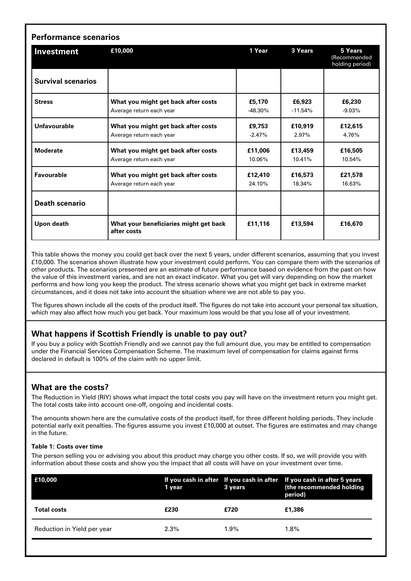| Investment                | £10,000                                               | 1 Year    | 3 Years   | 5 Years<br>(Recommended<br>holding period) |
|---------------------------|-------------------------------------------------------|-----------|-----------|--------------------------------------------|
| <b>Survival scenarios</b> |                                                       |           |           |                                            |
| <b>Stress</b>             | What you might get back after costs                   | £5,170    | £6,923    | £6,230                                     |
|                           | Average return each year                              | $-48.30%$ | $-11.54%$ | $-9.03%$                                   |
| Unfavourable              | What you might get back after costs                   | £9,753    | £10.919   | £12,615                                    |
|                           | Average return each year                              | $-2.47%$  | 2.97%     | 4.76%                                      |
| <b>Moderate</b>           | What you might get back after costs                   | £11,006   | £13,459   | £16,505                                    |
|                           | Average return each year                              | 10.06%    | 10.41%    | 10.54%                                     |
| <b>Favourable</b>         | What you might get back after costs                   | £12,410   | £16,573   | £21,578                                    |
|                           | Average return each year                              | 24.10%    | 18.34%    | 16.63%                                     |
| <b>Death scenario</b>     |                                                       |           |           |                                            |
| Upon death                | What your beneficiaries might get back<br>after costs | £11,116   | £13,594   | £16,670                                    |

This table shows the money you could get back over the next 5 years, under different scenarios, assuming that you invest £10,000. The scenarios shown illustrate how your investment could perform. You can compare them with the scenarios of other products. The scenarios presented are an estimate of future performance based on evidence from the past on how the value of this investment varies, and are not an exact indicator. What you get will vary depending on how the market performs and how long you keep the product. The stress scenario shows what you might get back in extreme market circumstances, and it does not take into account the situation where we are not able to pay you.

The figures shown include all the costs of the product itself. The figures do not take into account your personal tax situation, which may also affect how much you get back. Your maximum loss would be that you lose all of your investment.

# **What happens if Scottish Friendly is unable to pay out?**

If you buy a policy with Scottish Friendly and we cannot pay the full amount due, you may be entitled to compensation under the Financial Services Compensation Scheme. The maximum level of compensation for claims against firms declared in default is 100% of the claim with no upper limit.

# **What are the costs?**

The Reduction in Yield (RIY) shows what impact the total costs you pay will have on the investment return you might get. The total costs take into account one-off, ongoing and incidental costs.

The amounts shown here are the cumulative costs of the product itself, for three different holding periods. They include potential early exit penalties. The figures assume you invest £10,000 at outset. The figures are estimates and may change in the future.

#### **Table 1: Costs over time**

The person selling you or advising you about this product may charge you other costs. If so, we will provide you with information about these costs and show you the impact that all costs will have on your investment over time.

| E10,000                     | 1 year  | 3 years | If you cash in after If you cash in after If you cash in after 5 years<br>(the recommended holding<br>period) |
|-----------------------------|---------|---------|---------------------------------------------------------------------------------------------------------------|
| <b>Total costs</b>          | £230    | £720    | £1.386                                                                                                        |
| Reduction in Yield per year | $2.3\%$ | 1.9%    | $1.8\%$                                                                                                       |